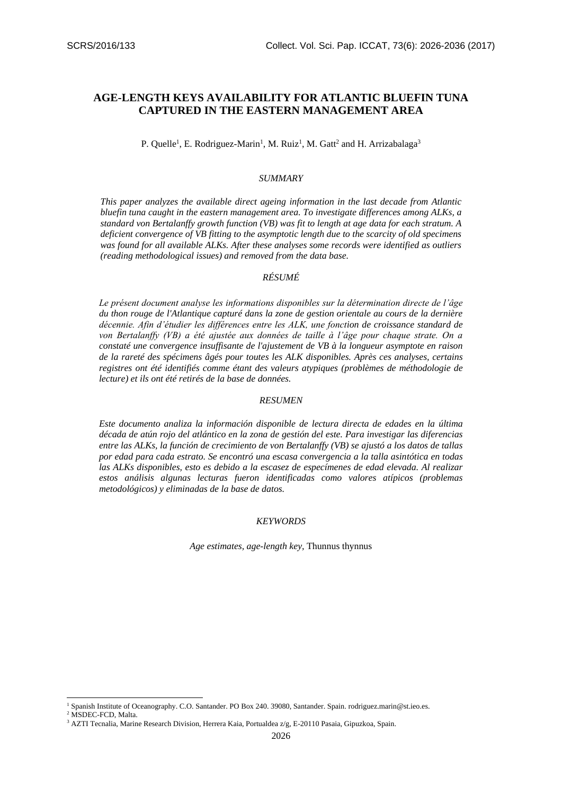# **AGE-LENGTH KEYS AVAILABILITY FOR ATLANTIC BLUEFIN TUNA CAPTURED IN THE EASTERN MANAGEMENT AREA**

P. Quelle<sup>1</sup>, E. Rodriguez-Marin<sup>1</sup>, M. Ruiz<sup>1</sup>, M. Gatt<sup>2</sup> and H. Arrizabalaga<sup>3</sup>

#### *SUMMARY*

*This paper analyzes the available direct ageing information in the last decade from Atlantic bluefin tuna caught in the eastern management area. To investigate differences among ALKs, a standard von Bertalanffy growth function (VB) was fit to length at age data for each stratum. A deficient convergence of VB fitting to the asymptotic length due to the scarcity of old specimens was found for all available ALKs. After these analyses some records were identified as outliers (reading methodological issues) and removed from the data base.*

# *RÉSUMÉ*

*Le présent document analyse les informations disponibles sur la détermination directe de l'âge du thon rouge de l'Atlantique capturé dans la zone de gestion orientale au cours de la dernière décennie. Afin d'étudier les différences entre les ALK, une fonction de croissance standard de von Bertalanffy (VB) a été ajustée aux données de taille à l'âge pour chaque strate. On a constaté une convergence insuffisante de l'ajustement de VB à la longueur asymptote en raison de la rareté des spécimens âgés pour toutes les ALK disponibles. Après ces analyses, certains registres ont été identifiés comme étant des valeurs atypiques (problèmes de méthodologie de lecture) et ils ont été retirés de la base de données.*

# *RESUMEN*

*Este documento analiza la información disponible de lectura directa de edades en la última década de atún rojo del atlántico en la zona de gestión del este. Para investigar las diferencias entre las ALKs, la función de crecimiento de von Bertalanffy (VB) se ajustó a los datos de tallas por edad para cada estrato. Se encontró una escasa convergencia a la talla asintótica en todas las ALKs disponibles, esto es debido a la escasez de especímenes de edad elevada. Al realizar estos análisis algunas lecturas fueron identificadas como valores atípicos (problemas metodológicos) y eliminadas de la base de datos.*

#### *KEYWORDS*

*Age estimates, age-length key,* Thunnus thynnus

-

<sup>1</sup> Spanish Institute of Oceanography. C.O. Santander. PO Box 240. 39080, Santander. Spain[. rodriguez.marin@st.ieo.es.](mailto:rodriguez.marin@st.ieo.es)

<sup>2</sup> MSDEC-FCD, Malta.

<sup>&</sup>lt;sup>3</sup> AZTI Tecnalia, Marine Research Division, Herrera Kaia, Portualdea z/g, E-20110 Pasaia, Gipuzkoa, Spain.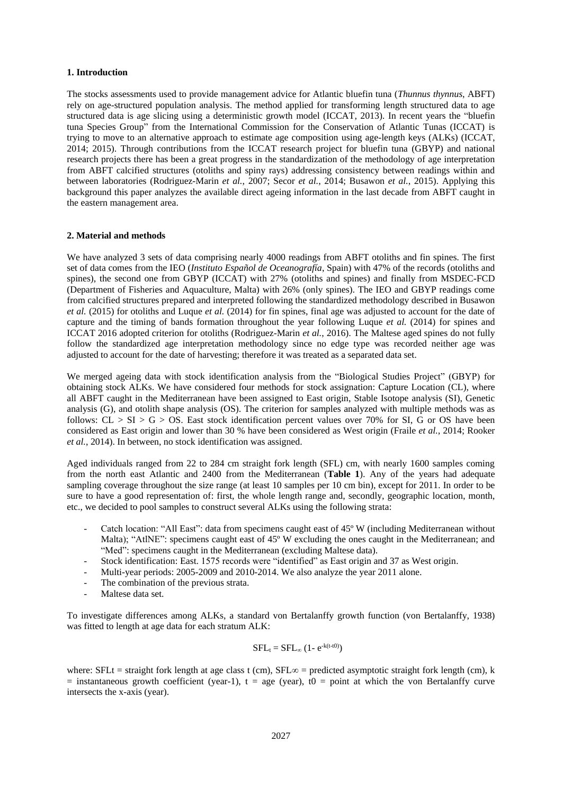### **1. Introduction**

The stocks assessments used to provide management advice for Atlantic bluefin tuna (*Thunnus thynnus*, ABFT) rely on age-structured population analysis. The method applied for transforming length structured data to age structured data is age slicing using a deterministic growth model (ICCAT, 2013). In recent years the "bluefin tuna Species Group" from the International Commission for the Conservation of Atlantic Tunas (ICCAT) is trying to move to an alternative approach to estimate age composition using age-length keys (ALKs) (ICCAT, 2014; 2015). Through contributions from the ICCAT research project for bluefin tuna (GBYP) and national research projects there has been a great progress in the standardization of the methodology of age interpretation from ABFT calcified structures (otoliths and spiny rays) addressing consistency between readings within and between laboratories (Rodriguez-Marin *et al.*, 2007; Secor *et al.*, 2014; Busawon *et al.*, 2015). Applying this background this paper analyzes the available direct ageing information in the last decade from ABFT caught in the eastern management area.

#### **2. Material and methods**

We have analyzed 3 sets of data comprising nearly 4000 readings from ABFT otoliths and fin spines. The first set of data comes from the IEO (*Instituto Español de Oceanografía*, Spain) with 47% of the records (otoliths and spines), the second one from GBYP (ICCAT) with 27% (otoliths and spines) and finally from MSDEC-FCD (Department of Fisheries and Aquaculture, Malta) with 26% (only spines). The IEO and GBYP readings come from calcified structures prepared and interpreted following the standardized methodology described in Busawon *et al.* (2015) for otoliths and Luque *et al.* (2014) for fin spines, final age was adjusted to account for the date of capture and the timing of bands formation throughout the year following Luque *et al.* (2014) for spines and ICCAT 2016 adopted criterion for otoliths (Rodriguez-Marin *et al.*, 2016). The Maltese aged spines do not fully follow the standardized age interpretation methodology since no edge type was recorded neither age was adjusted to account for the date of harvesting; therefore it was treated as a separated data set.

We merged ageing data with stock identification analysis from the "Biological Studies Project" (GBYP) for obtaining stock ALKs. We have considered four methods for stock assignation: Capture Location (CL), where all ABFT caught in the Mediterranean have been assigned to East origin, Stable Isotope analysis (SI), Genetic analysis (G), and otolith shape analysis (OS). The criterion for samples analyzed with multiple methods was as follows:  $CL > SI > G > OS$ . East stock identification percent values over 70% for SI, G or OS have been considered as East origin and lower than 30 % have been considered as West origin (Fraile *et al.*, 2014; Rooker *et al.*, 2014). In between, no stock identification was assigned.

Aged individuals ranged from 22 to 284 cm straight fork length (SFL) cm, with nearly 1600 samples coming from the north east Atlantic and 2400 from the Mediterranean (**Table 1**). Any of the years had adequate sampling coverage throughout the size range (at least 10 samples per 10 cm bin), except for 2011. In order to be sure to have a good representation of: first, the whole length range and, secondly, geographic location, month, etc., we decided to pool samples to construct several ALKs using the following strata:

- Catch location: "All East": data from specimens caught east of 45º W (including Mediterranean without Malta); "AtlNE": specimens caught east of 45° W excluding the ones caught in the Mediterranean; and "Med": specimens caught in the Mediterranean (excluding Maltese data).
- Stock identification: East. 1575 records were "identified" as East origin and 37 as West origin.
- Multi-year periods: 2005-2009 and 2010-2014. We also analyze the year 2011 alone.
- The combination of the previous strata.
- Maltese data set.

To investigate differences among ALKs, a standard von Bertalanffy growth function (von Bertalanffy, 1938) was fitted to length at age data for each stratum ALK:

$$
SFL_t = SFL_{\infty} (1 - e^{-k(t-t0)})
$$

where: SFLt = straight fork length at age class t (cm), SFL $\infty$  = predicted asymptotic straight fork length (cm), k  $=$  instantaneous growth coefficient (year-1), t  $=$  age (year), t0  $=$  point at which the von Bertalanffy curve intersects the x-axis (year).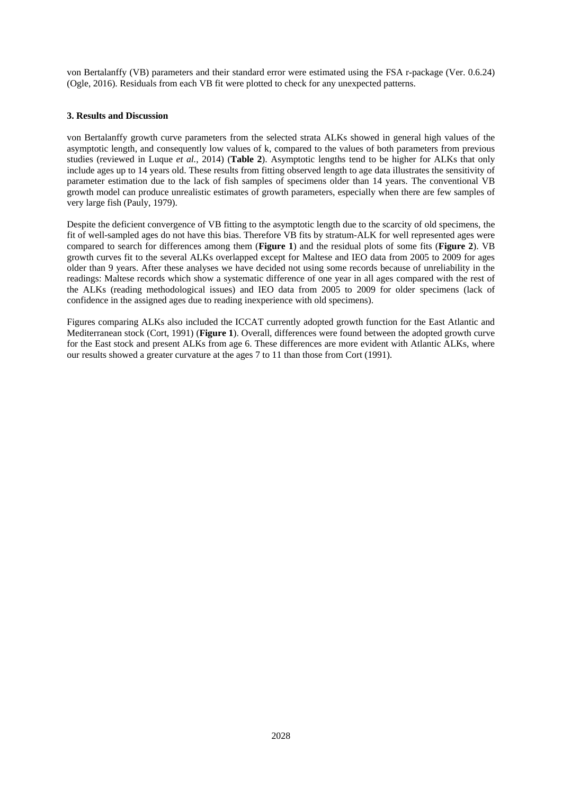von Bertalanffy (VB) parameters and their standard error were estimated using the FSA r-package (Ver. 0.6.24) (Ogle, 2016). Residuals from each VB fit were plotted to check for any unexpected patterns.

# **3. Results and Discussion**

von Bertalanffy growth curve parameters from the selected strata ALKs showed in general high values of the asymptotic length, and consequently low values of k, compared to the values of both parameters from previous studies (reviewed in Luque *et al.*, 2014) (**Table 2**). Asymptotic lengths tend to be higher for ALKs that only include ages up to 14 years old. These results from fitting observed length to age data illustrates the sensitivity of parameter estimation due to the lack of fish samples of specimens older than 14 years. The conventional VB growth model can produce unrealistic estimates of growth parameters, especially when there are few samples of very large fish (Pauly, 1979).

Despite the deficient convergence of VB fitting to the asymptotic length due to the scarcity of old specimens, the fit of well-sampled ages do not have this bias. Therefore VB fits by stratum-ALK for well represented ages were compared to search for differences among them (**Figure 1**) and the residual plots of some fits (**Figure 2**). VB growth curves fit to the several ALKs overlapped except for Maltese and IEO data from 2005 to 2009 for ages older than 9 years. After these analyses we have decided not using some records because of unreliability in the readings: Maltese records which show a systematic difference of one year in all ages compared with the rest of the ALKs (reading methodological issues) and IEO data from 2005 to 2009 for older specimens (lack of confidence in the assigned ages due to reading inexperience with old specimens).

Figures comparing ALKs also included the ICCAT currently adopted growth function for the East Atlantic and Mediterranean stock (Cort, 1991) (**Figure 1**). Overall, differences were found between the adopted growth curve for the East stock and present ALKs from age 6. These differences are more evident with Atlantic ALKs, where our results showed a greater curvature at the ages 7 to 11 than those from Cort (1991).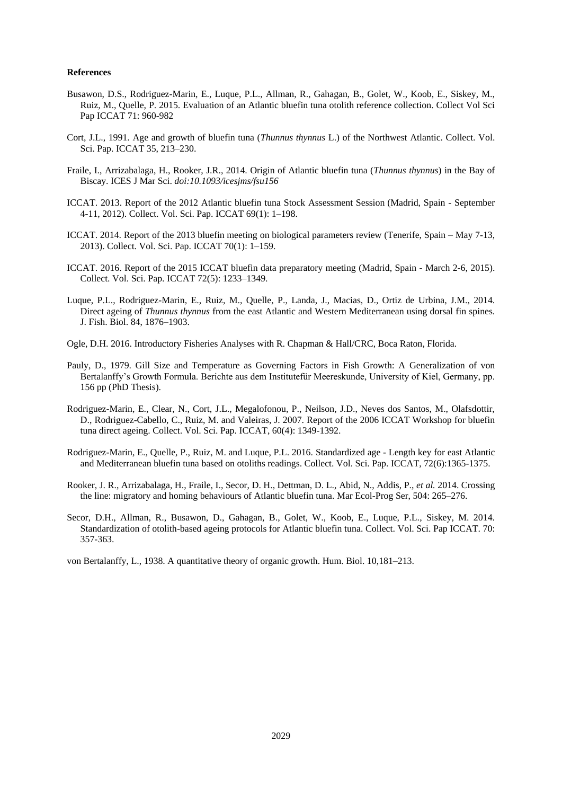#### **References**

- Busawon, D.S., Rodriguez-Marin, E., Luque, P.L., Allman, R., Gahagan, B., Golet, W., Koob, E., Siskey, M., Ruiz, M., Quelle, P. 2015. Evaluation of an Atlantic bluefin tuna otolith reference collection. Collect Vol Sci Pap ICCAT 71: 960-982
- Cort, J.L., 1991. Age and growth of bluefin tuna (*Thunnus thynnus* L.) of the Northwest Atlantic. Collect. Vol. Sci. Pap. ICCAT 35, 213–230.
- Fraile, I., Arrizabalaga, H., Rooker, J.R., 2014. Origin of Atlantic bluefin tuna (*Thunnus thynnus*) in the Bay of Biscay. ICES J Mar Sci. *doi:10.1093/icesjms/fsu156*
- ICCAT. 2013. Report of the 2012 Atlantic bluefin tuna Stock Assessment Session (Madrid, Spain September 4-11, 2012). Collect. Vol. Sci. Pap. ICCAT 69(1): 1–198.
- ICCAT. 2014. Report of the 2013 bluefin meeting on biological parameters review (Tenerife, Spain May 7-13, 2013). Collect. Vol. Sci. Pap. ICCAT 70(1): 1–159.
- ICCAT. 2016. Report of the 2015 ICCAT bluefin data preparatory meeting (Madrid, Spain March 2-6, 2015). Collect. Vol. Sci. Pap. ICCAT 72(5): 1233–1349.
- Luque, P.L., Rodriguez-Marin, E., Ruiz, M., Quelle, P., Landa, J., Macias, D., Ortiz de Urbina, J.M., 2014. Direct ageing of *Thunnus thynnus* from the east Atlantic and Western Mediterranean using dorsal fin spines. J. Fish. Biol. 84, 1876–1903.
- Ogle, D.H. 2016. Introductory Fisheries Analyses with R. Chapman & Hall/CRC, Boca Raton, Florida.
- Pauly, D., 1979. Gill Size and Temperature as Governing Factors in Fish Growth: A Generalization of von Bertalanffy's Growth Formula. Berichte aus dem Institutefür Meereskunde, University of Kiel, Germany, pp. 156 pp (PhD Thesis).
- Rodriguez-Marin, E., Clear, N., Cort, J.L., Megalofonou, P., Neilson, J.D., Neves dos Santos, M., Olafsdottir, D., Rodriguez-Cabello, C., Ruiz, M. and Valeiras, J. 2007. Report of the 2006 ICCAT Workshop for bluefin tuna direct ageing. Collect. Vol. Sci. Pap. ICCAT, 60(4): 1349-1392.
- Rodriguez-Marin, E., Quelle, P., Ruiz, M. and Luque, P.L. 2016. Standardized age Length key for east Atlantic and Mediterranean bluefin tuna based on otoliths readings. Collect. Vol. Sci. Pap. ICCAT, 72(6):1365-1375.
- Rooker, J. R., Arrizabalaga, H., Fraile, I., Secor, D. H., Dettman, D. L., Abid, N., Addis, P., *et al.* 2014. Crossing the line: migratory and homing behaviours of Atlantic bluefin tuna. Mar Ecol-Prog Ser, 504: 265–276.
- Secor, D.H., Allman, R., Busawon, D., Gahagan, B., Golet, W., Koob, E., Luque, P.L., Siskey, M. 2014. Standardization of otolith-based ageing protocols for Atlantic bluefin tuna. Collect. Vol. Sci. Pap ICCAT. 70: 357-363.

von Bertalanffy, L., 1938. A quantitative theory of organic growth. Hum. Biol. 10,181–213.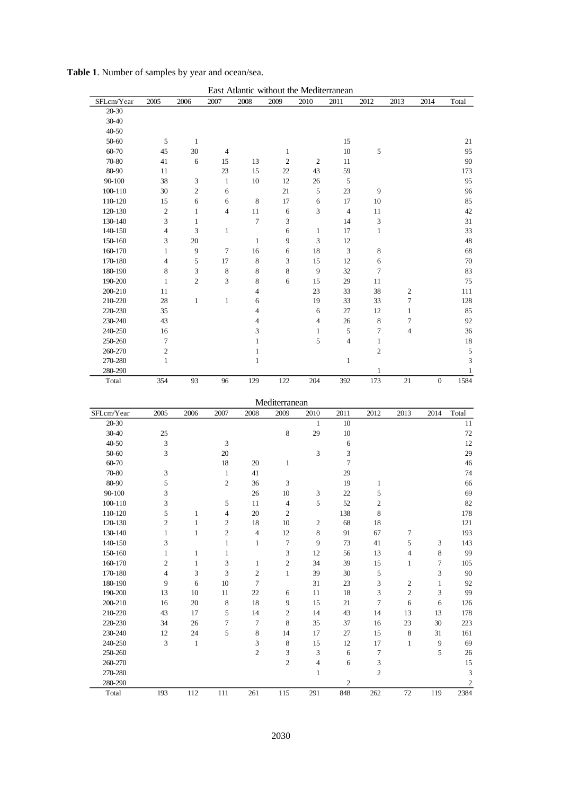| SFLcm/Year | 2005                        | 2006             | 2007                     | East Atlantic without the Mediterranean<br>2008 | 2009                        | 2010                        | 2011                        | 2012             | 2013                    | 2014             | Total          |
|------------|-----------------------------|------------------|--------------------------|-------------------------------------------------|-----------------------------|-----------------------------|-----------------------------|------------------|-------------------------|------------------|----------------|
| 20-30      |                             |                  |                          |                                                 |                             |                             |                             |                  |                         |                  |                |
| 30-40      |                             |                  |                          |                                                 |                             |                             |                             |                  |                         |                  |                |
| 40-50      |                             |                  |                          |                                                 |                             |                             |                             |                  |                         |                  |                |
| 50-60      | 5                           | $\mathbf{1}$     |                          |                                                 |                             |                             | 15                          |                  |                         |                  | 21             |
| 60-70      | 45                          | 30               | 4                        |                                                 | $\mathbf{1}$                |                             | $10\,$                      | $\sqrt{5}$       |                         |                  | 95             |
| 70-80      | 41                          | $\sqrt{6}$       | 15                       | 13                                              | $\sqrt{2}$                  | $\sqrt{2}$                  | 11                          |                  |                         |                  | 90             |
| 80-90      | 11                          |                  | 23                       | 15                                              | $22\,$                      | 43                          | 59                          |                  |                         |                  | 173            |
| 90-100     | 38                          | 3                | $\mathbf{1}$             | 10                                              | 12                          | $26\,$                      | $\sqrt{5}$                  |                  |                         |                  | 95             |
| 100-110    | 30                          | $\boldsymbol{2}$ | 6                        |                                                 | $21\,$                      | $\sqrt{5}$                  | 23                          | 9                |                         |                  | 96             |
| 110-120    | 15                          | 6                | 6                        | $\,$ 8 $\,$                                     | $17\,$                      | $\epsilon$                  | 17                          | $10\,$           |                         |                  | 85             |
| 120-130    | $\boldsymbol{2}$            | $\mathbf{1}$     | $\overline{4}$           | $11\,$                                          | $\sqrt{6}$                  | 3                           | $\overline{4}$              | 11               |                         |                  | 42             |
| 130-140    | 3                           | $\mathbf{1}$     |                          | 7                                               | 3                           |                             | 14                          | 3                |                         |                  | 31             |
| 140-150    | $\overline{4}$              | 3                | $\mathbf{1}$             |                                                 | 6                           | $\mathbf{1}$                | 17                          | $\mathbf{1}$     |                         |                  | 33             |
| 150-160    | 3                           | 20               |                          | $\mathbf{1}$                                    | 9                           | 3                           | 12                          |                  |                         |                  | 48             |
| 160-170    | $\mathbf{1}$                | 9                | $\tau$                   | 16                                              | 6                           | 18                          | $\ensuremath{\mathfrak{Z}}$ | 8                |                         |                  | 68             |
| 170-180    | $\overline{4}$              | 5                | 17                       | $\,$ 8 $\,$                                     | 3                           | 15                          | 12                          | $\sqrt{6}$       |                         |                  | 70             |
| 180-190    | 8                           | 3                | 8                        | 8                                               | 8                           | $\overline{9}$              | 32                          | $\tau$           |                         |                  | 83             |
| 190-200    | $\mathbf{1}$                | $\overline{c}$   | 3                        | 8                                               | $\sqrt{6}$                  | 15                          | 29                          | $11\,$           |                         |                  | 75             |
| 200-210    | 11                          |                  |                          | 4                                               |                             | $23\,$                      | 33                          | 38               | $\sqrt{2}$              |                  | 111            |
| 210-220    | 28                          | $\mathbf{1}$     | $\mathbf{1}$             | 6                                               |                             | 19                          | 33                          | 33               | 7                       |                  | 128            |
| 220-230    | 35                          |                  |                          | $\overline{4}$                                  |                             | 6                           | 27                          | 12               | $\mathbf{1}$            |                  | 85             |
| 230-240    | 43                          |                  |                          | 4                                               |                             | $\overline{\mathbf{4}}$     | 26                          | $\,8\,$          | 7                       |                  | 92             |
| 240-250    | 16                          |                  |                          | 3                                               |                             | $\mathbf{1}$                | $\mathfrak s$               | 7                | $\overline{\mathbf{4}}$ |                  | 36             |
| 250-260    | 7                           |                  |                          | $\mathbf{1}$                                    |                             | 5                           | $\overline{4}$              | $\mathbf{1}$     |                         |                  | 18             |
| 260-270    | $\boldsymbol{2}$            |                  |                          | $\mathbf{1}$                                    |                             |                             |                             | $\overline{c}$   |                         |                  | 5              |
| 270-280    | $\mathbf{1}$                |                  |                          | $\mathbf{1}$                                    |                             |                             | $\mathbf{1}$                |                  |                         |                  | 3              |
| 280-290    |                             |                  |                          |                                                 |                             |                             |                             | $\mathbf{1}$     |                         |                  | $\mathbf{1}$   |
| Total      | 354                         | 93               | 96                       | 129                                             | 122                         | 204                         | 392                         | 173              | 21                      | $\boldsymbol{0}$ | 1584           |
|            |                             |                  |                          |                                                 |                             |                             |                             |                  |                         |                  |                |
|            |                             |                  |                          |                                                 | Mediterranean               |                             |                             |                  |                         |                  |                |
| SFLcm/Year | 2005                        | 2006             | 2007                     | 2008                                            | 2009                        | 2010                        | 2011                        | 2012             | 2013                    | 2014             | Total          |
| 20-30      |                             |                  |                          |                                                 |                             | $\mathbf{1}$                | 10                          |                  |                         |                  | 11             |
| 30-40      | $25\,$                      |                  |                          |                                                 | $\,$ 8 $\,$                 | 29                          | $10\,$                      |                  |                         |                  | 72             |
| 40-50      | 3                           |                  | 3                        |                                                 |                             |                             | 6                           |                  |                         |                  | 12             |
| 50-60      | 3                           |                  | $20\,$                   |                                                 |                             | $\ensuremath{\mathfrak{Z}}$ | 3                           |                  |                         |                  | 29             |
| 60-70      |                             |                  | 18                       | $20\,$                                          | $\mathbf{1}$                |                             | $\boldsymbol{7}$            |                  |                         |                  | 46             |
| 70-80      | 3                           |                  | $\mathbf{1}$             | 41                                              |                             |                             | 29                          |                  |                         |                  | 74             |
| 80-90      | 5                           |                  | $\boldsymbol{2}$         | 36                                              | $\mathfrak{Z}$              |                             | 19                          | $\mathbf{1}$     |                         |                  | 66             |
| 90-100     | 3                           |                  |                          | 26                                              | $10\,$                      | 3                           | 22                          | 5                |                         |                  | 69             |
| 100-110    | 3                           |                  | 5                        | 11                                              | $\overline{4}$              | 5                           | 52                          | $\overline{c}$   |                         |                  | 82             |
| 110-120    | 5                           | $\,1$            | $\overline{\mathcal{L}}$ | $20\,$                                          | $\sqrt{2}$                  |                             | 138                         | $\,8\,$          |                         |                  | 178            |
| 120-130    | $\sqrt{2}$                  | $\mathbf{1}$     | $\sqrt{2}$               | 18                                              | $10\,$                      | $\sqrt{2}$                  | 68                          | $18\,$           |                         |                  | 121            |
| 130-140    | $\mathbf{1}$                | $\mathbf{1}$     | $\sqrt{2}$               | $\overline{4}$                                  | 12                          | $\,$ 8 $\,$                 | 91                          | 67               | 7                       |                  | 193            |
| 140-150    | 3                           |                  | $\mathbf{1}$             | $\mathbf{1}$                                    | $\tau$                      | 9                           | 73                          | 41               | 5                       | 3                | 143            |
| 150-160    | $\mathbf{1}$                | $\mathbf{1}$     | $\mathbf{1}$             |                                                 | $\ensuremath{\mathfrak{Z}}$ | 12                          | 56                          | 13               | $\overline{\mathbf{4}}$ | 8                | 99             |
| 160-170    | $\sqrt{2}$                  | $\,1$            | 3                        | $\mathbf{1}$                                    | $\sqrt{2}$                  | 34                          | 39                          | 15               | $\mathbf{1}$            | 7                | 105            |
| 170-180    | $\overline{4}$              | 3                | 3                        | $\sqrt{2}$                                      | $\mathbf{1}$                | 39                          | $30\,$                      | 5                |                         | 3                | 90             |
| 180-190    | 9                           | 6                | $10\,$                   | $\tau$                                          |                             | 31                          | 23                          | 3                | $\sqrt{2}$              | $\mathbf{1}$     | 92             |
| 190-200    | 13                          | 10               | $11\,$                   | $22\,$                                          | $\sqrt{6}$                  | $11\,$                      | 18                          | $\mathfrak{Z}$   | $\sqrt{2}$              | 3                | 99             |
| 200-210    | 16                          | 20               | $\,8\,$                  | $18\,$                                          | $\overline{9}$              | 15                          | $21\,$                      | $\boldsymbol{7}$ | $\sqrt{6}$              | $\epsilon$       | 126            |
| 210-220    | 43                          | 17               | 5                        | 14                                              | $\sqrt{2}$                  | 14                          | 43                          | 14               | 13                      | 13               | 178            |
| 220-230    | 34                          | $26\,$           | $\tau$                   | $\tau$                                          | $\,8\,$                     | 35                          | 37                          | 16               | 23                      | $30\,$           | 223            |
| 230-240    | 12                          | 24               | 5                        | $\,$ 8 $\,$                                     | 14                          | 17                          | 27                          | 15               | $\,8\,$                 | 31               | 161            |
| 240-250    | $\ensuremath{\mathfrak{Z}}$ | $\mathbf{1}$     |                          | $\ensuremath{\mathfrak{Z}}$                     | $\,$ 8 $\,$                 | 15                          | 12                          | 17               | $\mathbf{1}$            | $\boldsymbol{9}$ | 69             |
| 250-260    |                             |                  |                          | $\sqrt{2}$                                      | $\ensuremath{\mathfrak{Z}}$ | $\ensuremath{\mathfrak{Z}}$ | 6                           | $\boldsymbol{7}$ |                         | $\mathfrak s$    | 26             |
| 260-270    |                             |                  |                          |                                                 | $\sqrt{2}$                  | $\overline{\mathbf{4}}$     | 6                           | 3                |                         |                  | 15             |
| 270-280    |                             |                  |                          |                                                 |                             | $\mathbf{1}$                |                             | $\boldsymbol{2}$ |                         |                  | $\sqrt{3}$     |
| 280-290    |                             |                  |                          |                                                 |                             |                             | $\overline{c}$              |                  |                         |                  | $\overline{c}$ |

|  |  |  |  |  | Table 1. Number of samples by year and ocean/sea. |
|--|--|--|--|--|---------------------------------------------------|
|--|--|--|--|--|---------------------------------------------------|

Total 193 112 111 261 115 291 848 262 72 119 2384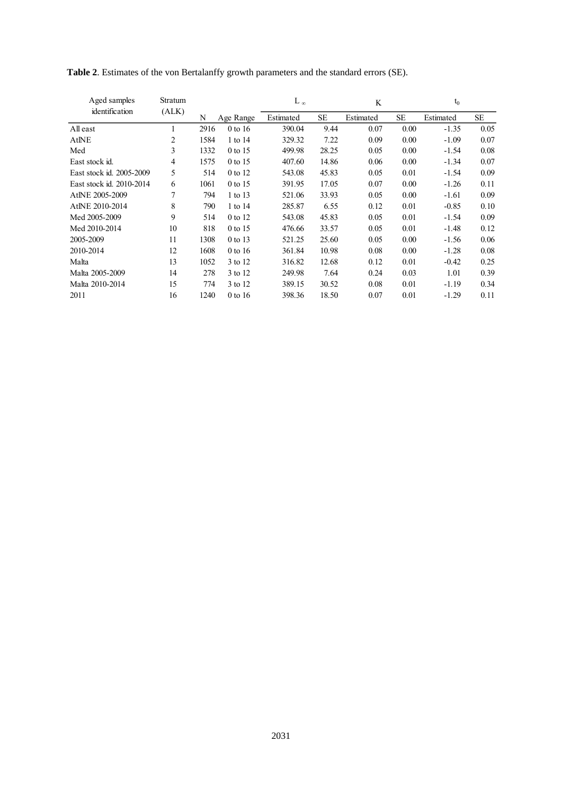| Aged samples             | Stratum |      |           | L $_{\infty}$ |       | K         |           | $t_0$     |           |
|--------------------------|---------|------|-----------|---------------|-------|-----------|-----------|-----------|-----------|
| identification           | (ALK)   | N    | Age Range | Estimated     | SE    | Estimated | <b>SE</b> | Estimated | <b>SE</b> |
| All east                 | 1       | 2916 | $0$ to 16 | 390.04        | 9.44  | 0.07      | 0.00      | $-1.35$   | 0.05      |
| AtINE                    | 2       | 1584 | 1 to 14   | 329.32        | 7.22  | 0.09      | 0.00      | $-1.09$   | 0.07      |
| Med                      | 3       | 1332 | 0 to 15   | 499.98        | 28.25 | 0.05      | 0.00      | $-1.54$   | 0.08      |
| East stock id.           | 4       | 1575 | 0 to 15   | 407.60        | 14.86 | 0.06      | 0.00      | $-1.34$   | 0.07      |
| East stock id. 2005-2009 | 5       | 514  | 0 to 12   | 543.08        | 45.83 | 0.05      | 0.01      | $-1.54$   | 0.09      |
| East stock id. 2010-2014 | 6       | 1061 | 0 to 15   | 391.95        | 17.05 | 0.07      | 0.00      | $-1.26$   | 0.11      |
| AtlNE 2005-2009          | 7       | 794  | 1 to 13   | 521.06        | 33.93 | 0.05      | 0.00      | $-1.61$   | 0.09      |
| AtlNE 2010-2014          | 8       | 790  | 1 to 14   | 285.87        | 6.55  | 0.12      | 0.01      | $-0.85$   | 0.10      |
| Med 2005-2009            | 9       | 514  | 0 to 12   | 543.08        | 45.83 | 0.05      | 0.01      | $-1.54$   | 0.09      |
| Med 2010-2014            | 10      | 818  | 0 to 15   | 476.66        | 33.57 | 0.05      | 0.01      | $-1.48$   | 0.12      |
| 2005-2009                | 11      | 1308 | 0 to 13   | 521.25        | 25.60 | 0.05      | 0.00      | $-1.56$   | 0.06      |
| 2010-2014                | 12      | 1608 | $0$ to 16 | 361.84        | 10.98 | 0.08      | 0.00      | $-1.28$   | 0.08      |
| Malta                    | 13      | 1052 | 3 to 12   | 316.82        | 12.68 | 0.12      | 0.01      | $-0.42$   | 0.25      |
| Malta 2005-2009          | 14      | 278  | 3 to 12   | 249.98        | 7.64  | 0.24      | 0.03      | 1.01      | 0.39      |
| Malta 2010-2014          | 15      | 774  | 3 to 12   | 389.15        | 30.52 | 0.08      | 0.01      | $-1.19$   | 0.34      |
| 2011                     | 16      | 1240 | 0 to 16   | 398.36        | 18.50 | 0.07      | 0.01      | $-1.29$   | 0.11      |

**Table 2**. Estimates of the von Bertalanffy growth parameters and the standard errors (SE).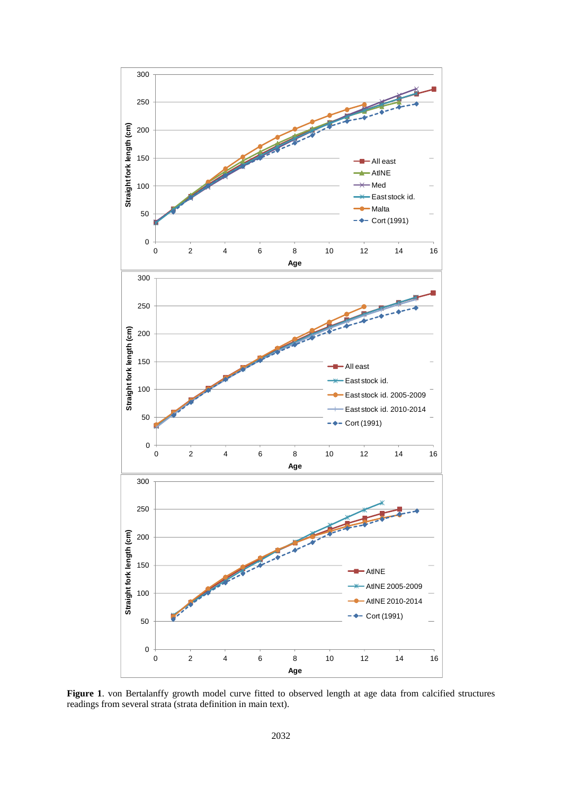

**Figure 1**. von Bertalanffy growth model curve fitted to observed length at age data from calcified structures readings from several strata (strata definition in main text).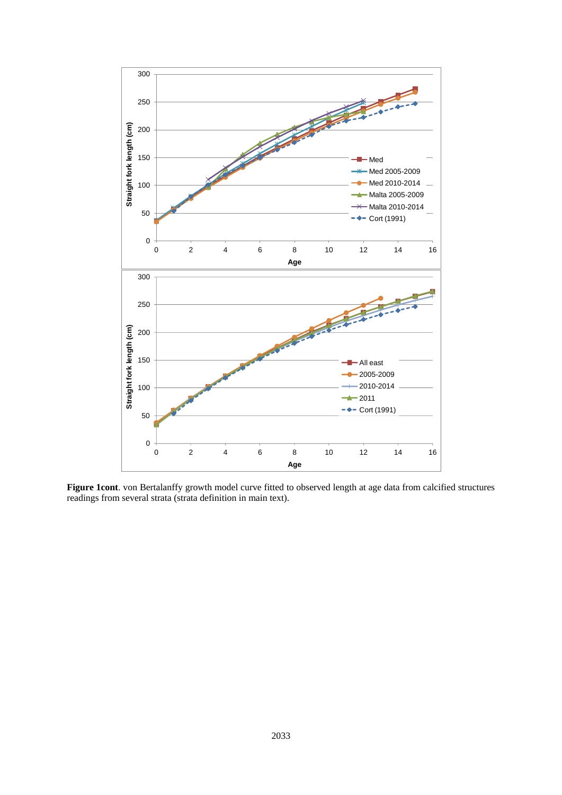

**Figure 1cont**. von Bertalanffy growth model curve fitted to observed length at age data from calcified structures readings from several strata (strata definition in main text).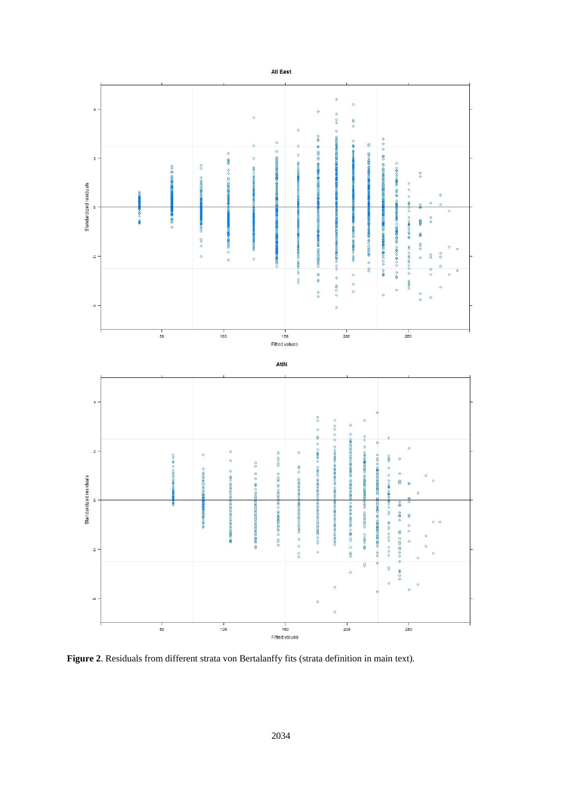

**Figure 2**. Residuals from different strata von Bertalanffy fits (strata definition in main text).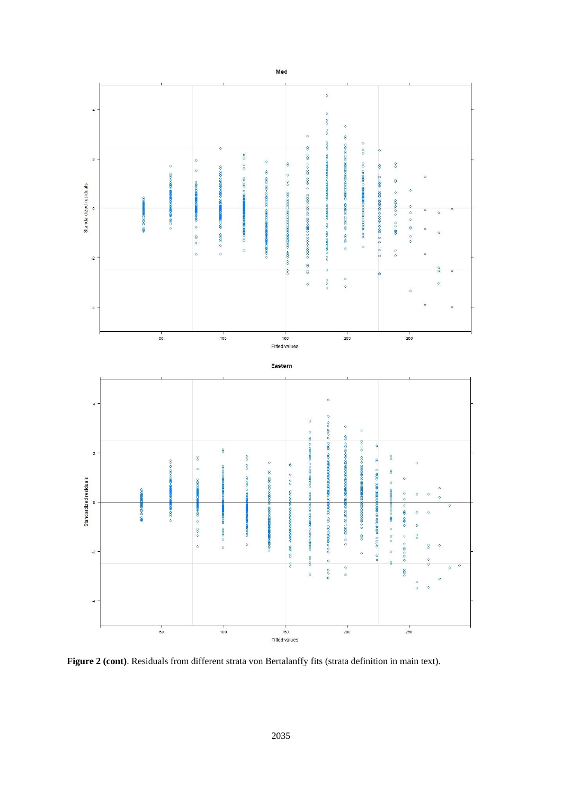

**Figure 2 (cont)**. Residuals from different strata von Bertalanffy fits (strata definition in main text).